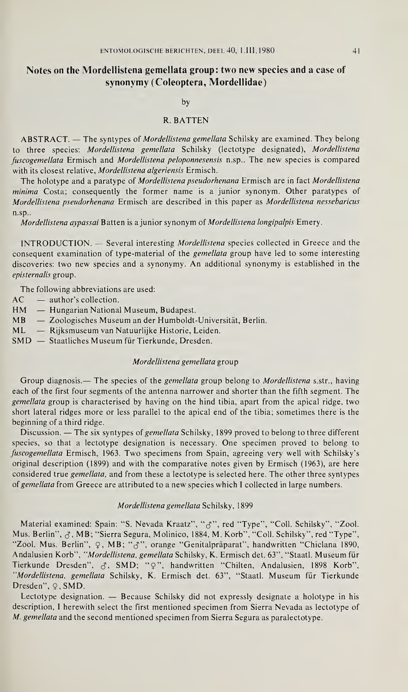# Notes on the Mordellistena gemellata group: two new species and a case of synonymy (Coleoptera, Mordellidae)

# by

# R. BATTEN

ABSTRACT. — The syntypes of *Mordellistena gemellata* Schilsky are examined. They belong to three species: Mordellistena gemellata Schilsky (lectotype designated), Mordellistena fuscogemellata Ermisch and Mordellistena peloponnesensis n.sp.. The new species is compared with its closest relative, Mordellistena algeriensis Ermisch.

The holotype and a paratype of Mordellistena pseudorhenana Ermisch are in fact Mordellistena minima Costa; consequently the former name is a junior synonym. Other paratypes of Mordellistena pseudorhenana Ermisch are described in this paper as Mordellistena nessebaricus n.sp..

Mordellistena aypassai Batten is a junior synonym of Mordellistena longipalpis Emery.

INTRODUCTION. — Several interesting Mordellistena species collected in Greece and the consequent examination of type-material of the *gemellata* group have led to some interesting discoveries: two new species and a synonymy. An additional synonymy is established in the episternalis group.

The following abbreviations are used:

- AC author's collection.
- HM Hungarian National Museum, Budapest.
- MB Zoologisches Museum an der Humboldt-Universität, Berlin.
- ML Rijksmuseum van Natuurlijke Historie, Leiden.
- SMD Staatliches Museum für Tierkunde, Dresden.

## Mordellistena gemellata group

Group diagnosis.— The species of the gemellata group belong to Mordellistena s.str., having each of the first four segments of the antenna narrower and shorter than the fifth segment. The gemellata group is characterised by having on the hind tibia, apart from the apical ridge, two short lateral ridges more or less parallel to the apical end of the tibia; sometimes there is the beginning of a third ridge.

Discussion. - The six syntypes of gemellata Schilsky, 1899 proved to belong to three different species, so that a lectotype designation is necessary. One specimen proved to belong to fuscogemellata Ermisch, 1963. Two specimens from Spain, agreeing very well with Schilsky's original description (1899) and with the comparative notes given by Ermisch (1963), are here considered true gemellata, and from these a lectotype is selected here. The other three syntypes of gemellata from Greece are attributed to a new species which I collected in large numbers.

#### Mordellistena gemellata Schilsky, 1899

Material examined: Spain: "S. Nevada Kraatz", "3", red "Type", "Coll. Schilsky", "Zool. Mus. Berlin'', J, MB; ''Sierra Segura, Molinico, 1884, M. Korb'', ''Coll. Schilsky'', red ''Type'', "Zool. Mus. Berlin", ♀, MB; "♂", orange "Genitalpräparat", handwritten "Chiclana 1890, Andalusien Korb", "Mordellistena, gemellata Schilsky, K. Ermisch det. 63", "Staatl. Museum für Tierkunde Dresden", SMD; "9", handwritten "Chilten, Andalusien, <sup>1898</sup> Korb", "Mordellistena, gemellata Schilsky, K. Ermisch det. 63", "Staatl. Museum für Tierkunde Dresden",  $Q$ , SMD.

Lectotype designation. — Because Schilsky did not expressly designate a holotype in his description, <sup>I</sup> herewith select the first mentioned specimen from Sierra Nevada as lectotype of M. gemellata and the second mentioned specimen from Sierra Segura as paralectotype.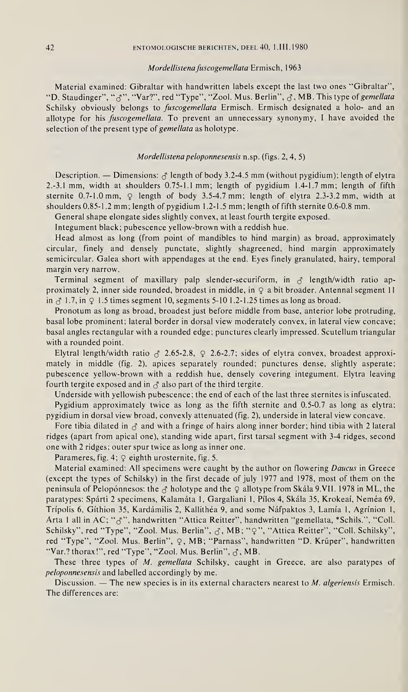### Mordellistenafuscogemellata Ermisch, 1963

Material examined: Gibraltar with handwritten labels except the last two ones "Gibraltar", "D. Staudinger", "d", "Var?", red "Type", "Zool. Mus. Berlin",  $\sigma$ , MB. This type of gemellata Schilsky obviously belongs to fuscogemellata Ermisch. Ermisch designated a holo- and an allotype for his fuscogemellata. To prevent an unnecessary synonymy, I have avoided the selection of the present type of gemellata as holotype.

#### Mordellistena peloponnesensis n.sp. (figs. 2, 4, 5)

Description. — Dimensions:  $\sigma$  length of body 3.2-4.5 mm (without pygidium); length of elytra 2.-3.1 mm, width at shoulders 0.75-1.1 mm; length of pygidium 1.4-1.7 mm; length of fifth sternite  $0.7-1.0$  mm,  $\varphi$  length of body 3.5-4.7 mm; length of elytra 2.3-3.2 mm, width at shoulders 0.85-1.2 mm; length of pygidium 1.2-1.5 mm; length of fifth sternite 0.6-0.8 mm.

General shape elongate sides slightly convex, at least fourth tergite exposed.

Integument black; pubescence yellow-brown with a reddish hue.

Head almost as long (from point of mandibles to hind margin) as broad, approximately circular, finely and densely punctate, slightly shagreened, hind margin approximately semicircular. Galea short with appendages at the end. Eyes finely granulated, hairy, temporal margin very narrow.

Terminal segment of maxillary palp slender-securiform, in  $\sigma$  length/width ratio approximately 2, inner side rounded, broadest in middle, in  $\varphi$  a bit broader. Antennal segment 11 in  $\beta$  1.7, in  $\varphi$  1.5 times segment 10, segments 5-10 1.2-1.25 times as long as broad.

Pronotum as long as broad, broadest just before middle from base, anterior lobe protruding, basal lobe prominent; lateral border in dorsal view moderately convex, in lateral view concave; basal angles rectangular with a rounded edge; punctures clearly impressed. Scutellum triangular with a rounded point.

Elytral length/width ratio  $\beta$  2.65-2.8,  $\varphi$  2.6-2.7; sides of elytra convex, broadest approximately in middle (fig. 2), apices separately rounded; punctures dense, slightly asperate; pubescence yellow-brown with a reddish hue, densely covering integument. Elytra leaving fourth tergite exposed and in  $\sigma$  also part of the third tergite.

Underside with yellowish pubescence; the end of each of the last three sternites is infuscated.

Pygidium approximately twice as long as the fifth sternite and 0.5-0.7 as long as elytra; pygidium in dorsal view broad, convexly attenuated (fig. 2), underside in lateral view concave.

Fore tibia dilated in  $\beta$  and with a fringe of hairs along inner border; hind tibia with 2 lateral ridges (apart from apical one), standing wide apart, first tarsal segment with 3-4 ridges, second one with 2 ridges; outer spur twice as long as inner one.

Parameres, fig. 4;  $\varphi$  eighth urosternite, fig. 5.

Material examined: All specimens were caught by the author on flowering Daucus in Greece (except the types of Schilsky) in the first decade of july 1977 and 1978, most of them on the peninsula of Pelopónnesos: the  $\beta$  holotype and the  $\varphi$  allotype from Skála 9.VII. 1978 in ML, the paratypes: Spärti 2 specimens, Kalamâta 1, Gargaliani 1, Pilos 4, Skâla 35, Krokeai, Neméa 69, Tripolis 6, Githion 35, Kardâmilis 2, Kallithéa 9, and some Nâfpaktos 3, Lamia 1, Agrinion 1, Arta 1 all in AC; " $\zeta$ ", handwritten "Attica Reitter", handwritten "gemellata, \*Schils.", "Coll. Schilsky", red "Type", "Zool. Mus. Berlin",  $\sigma$ , MB; "Q", "Attica Reitter", "Coll. Schilsky", red "Type", "Zool. Mus. Berlin", Q, MB; "Parnass", handwritten "D. Krüper", handwritten "Var.? thorax!", red "Type", "Zool. Mus. Berlin",  $\sigma$ , MB.

These three types of M. gemellata Schilsky, caught in Greece, are also paratypes of peloponnesensis and labelled accordingly by me.

Discussion.  $\overline{ }$  The new species is in its external characters nearest to *M. algeriensis* Ermisch. The differences are: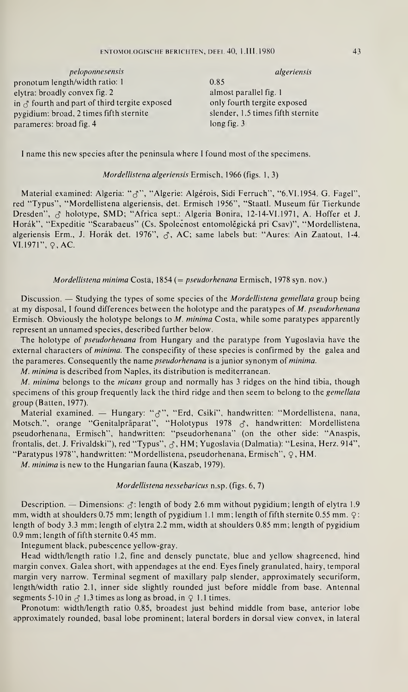peloponnesensis pronotum length/width ratio: <sup>1</sup> elytra: broadly convex fig. 2 in  $\delta$  fourth and part of third tergite exposed pygidium: broad, 2 times fifth sternite parameres: broad fig. 4

algeriensis 0.85 almost parallel fig. <sup>1</sup> only fourth tergite exposed slender, 1.5 times fifth sternite long fig. 3

<sup>I</sup> name this new species after the peninsula where I found most of the specimens.

# Mordellistena algeriensis Ermisch, 1966 (figs. 1,3)

Material examined: Algeria: "3", "Algerie: Algérois, Sidi Ferruch", "6.VI.1954. G. Fagel", red "Typus", "Mordellistena algeriensis, det. Ermisch 1956", "Staatl. Museum für Tierkunde Dresden",  $\delta$  holotype, SMD; "Africa sept.: Algeria Bonira, 12-14-VI.1971, A. Hoffer et J. Horâk", "Expeditie "Scarabaeus" (Cs. Spolecnost entomolégickâ pri Csav)", "Mordellistena, algeriensis Erm., J. Horák det. 1976",  $\zeta$ , AC; same labels but: "Aures: Ain Zaatout, 1-4. VI.1971",  $9, AC$ .

# Mordellistena minima Costa, 1854 (= pseudorhenana Ermisch, 1978 syn. nov.)

Discussion. — Studying the types of some species of the Mordellistena gemellata group being at my disposal, I found differences between the holotype and the paratypes of M. pseudorhenana Ermisch. Obviously the holotype belongs to  $M$ . minima Costa, while some paratypes apparently represent an unnamed species, described further below.

The holotype of *pseudorhenana* from Hungary and the paratype from Yugoslavia have the external characters of minima. The conspecifity of these species is confirmed by the galea and the parameres. Consequently the name *pseudorhenana* is a junior synonym of *minima*.

M. minima is described from Naples, its distribution is mediterranean.

M. minima belongs to the micans group and normally has 3 ridges on the hind tibia, though specimens of this group frequently lack the third ridge and then seem to belong to the *gemellata* group (Batten, 1977).

Material examined. — Hungary: "J", "Erd, Csiki", handwritten: "Mordellistena, nana, Motsch.", orange "Genitalpräparat", "Holotypus 1978  $\sigma$ , handwritten: Mordellistena pseudorhenana, Ermisch", handwritten: "pseudorhenana" (on the other side: "Anaspis, frontalis, det. J. Frivaldski"), red "Typus",  $\delta$ , HM; Yugoslavia (Dalmatia): "Lesina, Herz. 914", "Paratypus 1978", handwritten: "Mordellistena, pseudorhenana, Ermisch", Q, HM.

M. minima is new to the Hungarian fauna (Kaszab, 1979).

### Mordellistena nessebaricus n.sp. (figs. 6, 7)

Description. — Dimensions:  $\beta$ : length of body 2.6 mm without pygidium; length of elytra 1.9 mm, width at shoulders 0.75 mm; length of pygidium 1.1 mm; length of fifth sternite 0.55 mm.  $\varphi$ : length of body 3.3 mm; length of elytra 2.2 mm, width at shoulders 0.85 mm; length of pygidium 0.9 mm; length of fifth sternite 0.45 mm.

Integument black, pubescence yellow-gray.

Head width/length ratio 1.2, fine and densely punctate, blue and yellow shagreened, hind margin convex. Galea short, with appendages at the end. Eyes finely granulated, hairy, temporal margin very narrow. Terminal segment of maxillary palp slender, approximately securiform, length/width ratio 2.1, inner side slightly rounded just before middle from base. Antennal segments 5-10 in  $\beta$  1.3 times as long as broad, in  $\varphi$  1.1 times.

Pronotum: width/length ratio 0.85, broadest just behind middle from base, anterior lobe approximately rounded, basal lobe prominent; lateral borders in dorsal view convex, in lateral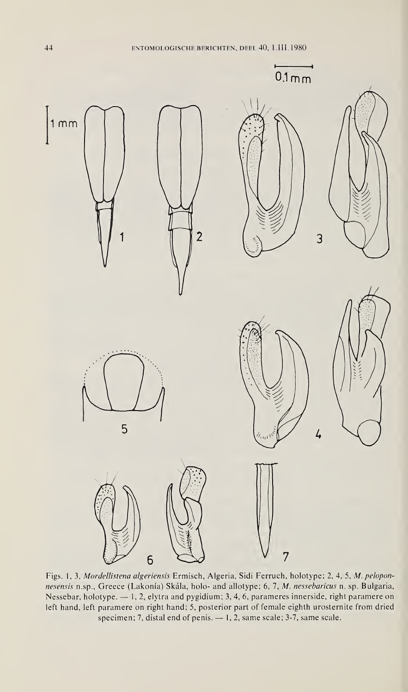

Figs. 1, 3, Mordellistena algeriensis Ermisch, Algeria, Sidi Ferruch, holotype; 2, 4, 5, M. peloponnesensis n.sp., Greece (Lakonía) Skála, holo- and allotype; 6, 7, M. nessebaricus n. sp. Bulgaria, Nessebar, holotype. - 1, 2, elytra and pygidium; 3, 4, 6, parameres innerside, right paramere on left hand, left paramere on right hand; 5, posterior part of female eighth urosternite from dried specimen; 7, distal end of penis.  $-1$ , 2, same scale; 3-7, same scale.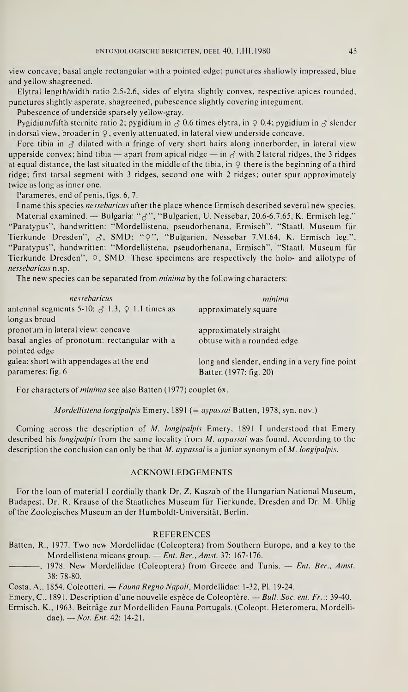view concave; basal angle rectangular with a pointed edge; punctures shallowly impressed, blue and yellow shagreened.

Elytral length/width ratio 2.5-2.6, sides of elytra slightly convex, respective apices rounded, punctures slightly asperate, shagreened, pubescence slightly covering integument.

Pubescence of underside sparsely yellow-gray.

Pygidium/fifth sternite ratio 2; pygidium in  $\beta$  0.6 times elytra, in  $\varphi$  0.4; pygidium in  $\beta$  slender in dorsal view, broader in  $\varphi$ , evenly attenuated, in lateral view underside concave.

Fore tibia in  $\sigma$  dilated with a fringe of very short hairs along innerborder, in lateral view upperside convex; hind tibia — apart from apical ridge — in  $\sigma$  with 2 lateral ridges, the 3 ridges at equal distance, the last situated in the middle of the tibia, in  $\varphi$  there is the beginning of a third ridge; first tarsal segment with <sup>3</sup> ridges, second one with 2 ridges; outer spur approximately twice as long as inner one.

Parameres, end of penis, figs. 6, 7.

<sup>I</sup> name this species nessebaricus after the place whence Ermisch described several new species. Material examined. — Bulgaria: " $\sigma$ ", "Bulgarien, U. Nessebar, 20.6-6.7.65, K. Ermisch leg." "Paratypus", handwritten: "Mordellistena, pseudorhenana, Ermisch", "Staatl. Museum für Tierkunde Dresden",  $\beta$ , SMD; "Q", "Bulgarien, Nessebar 7.VI.64, K. Ermisch leg.", "Paratypus", handwritten: "Mordellistena, pseudorhenana, Ermisch", "Staatl. Museum für Tierkunde Dresden",  $\varphi$ , SMD. These specimens are respectively the holo- and allotype of nessebaricus n.sp.

The new species can be separated from *minima* by the following characters:

| nessebaricus                                                 | minima                                                                  |
|--------------------------------------------------------------|-------------------------------------------------------------------------|
| antennal segments 5-10: $\beta$ 1.3, $\varphi$ 1.1 times as  | approximately square                                                    |
| long as broad                                                |                                                                         |
| pronotum in lateral view: concave                            | approximately straight                                                  |
| basal angles of pronotum: rectangular with a<br>pointed edge | obtuse with a rounded edge                                              |
| galea: short with appendages at the end<br>parameres: fig. 6 | long and slender, ending in a very fine point<br>Batten (1977: fig. 20) |

For characters of minima see also Batten (1977) couplet 6x.

Mordellistena longipalpis Emery, 1891 (= aypassai Batten, 1978, syn. nov.)

Coming across the description of M. longipalpis Emery, 1891 I understood that Emery described his *longipalpis* from the same locality from M. aypassai was found. According to the description the conclusion can only be that M. aypassai is a junior synonym of M. longipalpis.

# ACKNOWLEDGEMENTS

For the loan of material <sup>I</sup> cordially thank Dr. Z. Kaszab of the Hungarian National Museum, Budapest, Dr. R. Krause of the Staatliches Museum für Tierkunde, Dresden and Dr. M. Uhlig of the Zoologisches Museum an der Humboldt-Universität, Berlin.

# REFERENCES

Batten, R., 1977. Two new Mordellidae (Coleoptera) from Southern Europe, and a key to the Mordellistena micans group. — Ent. Ber., Amst. 37: 167-176.

-, 1978. New Mordellidae (Coleoptera) from Greece and Tunis. - Ent. Ber., Amst. 38: 78-80.

Costa, A., 1854. Coleotteri. — Fauna Regno Napoli, Mordellidae: 1-32, PI. 19-24.

Emery, C., 1891. Description d'une nouvelle espèce de Coleoptère. — Bull. Soc. ent. Fr. .: 39-40.

Ermisch, K., 1963. Beiträge zur Mordelliden Fauna Portugals. (Coleopt. Heteromera, Mordelli dae). — Not. Ent. 42: 14-21.